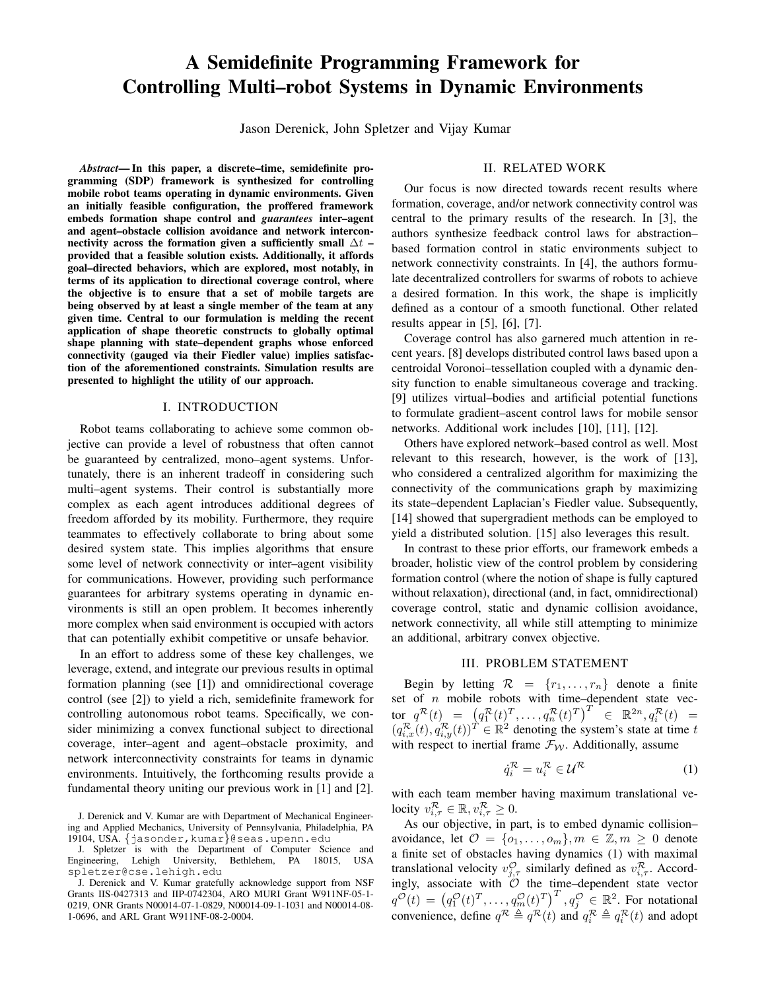# A Semidefinite Programming Framework for Controlling Multi–robot Systems in Dynamic Environments

Jason Derenick, John Spletzer and Vijay Kumar

*Abstract*— In this paper, a discrete–time, semidefinite programming (SDP) framework is synthesized for controlling mobile robot teams operating in dynamic environments. Given an initially feasible configuration, the proffered framework embeds formation shape control and *guarantees* inter–agent and agent–obstacle collision avoidance and network interconnectivity across the formation given a sufficiently small  $\Delta t$  – provided that a feasible solution exists. Additionally, it affords goal–directed behaviors, which are explored, most notably, in terms of its application to directional coverage control, where the objective is to ensure that a set of mobile targets are being observed by at least a single member of the team at any given time. Central to our formulation is melding the recent application of shape theoretic constructs to globally optimal shape planning with state–dependent graphs whose enforced connectivity (gauged via their Fiedler value) implies satisfaction of the aforementioned constraints. Simulation results are presented to highlight the utility of our approach.

## I. INTRODUCTION

Robot teams collaborating to achieve some common objective can provide a level of robustness that often cannot be guaranteed by centralized, mono–agent systems. Unfortunately, there is an inherent tradeoff in considering such multi–agent systems. Their control is substantially more complex as each agent introduces additional degrees of freedom afforded by its mobility. Furthermore, they require teammates to effectively collaborate to bring about some desired system state. This implies algorithms that ensure some level of network connectivity or inter–agent visibility for communications. However, providing such performance guarantees for arbitrary systems operating in dynamic environments is still an open problem. It becomes inherently more complex when said environment is occupied with actors that can potentially exhibit competitive or unsafe behavior.

In an effort to address some of these key challenges, we leverage, extend, and integrate our previous results in optimal formation planning (see [1]) and omnidirectional coverage control (see [2]) to yield a rich, semidefinite framework for controlling autonomous robot teams. Specifically, we consider minimizing a convex functional subject to directional coverage, inter–agent and agent–obstacle proximity, and network interconnectivity constraints for teams in dynamic environments. Intuitively, the forthcoming results provide a fundamental theory uniting our previous work in [1] and [2].

# II. RELATED WORK

Our focus is now directed towards recent results where formation, coverage, and/or network connectivity control was central to the primary results of the research. In [3], the authors synthesize feedback control laws for abstraction– based formation control in static environments subject to network connectivity constraints. In [4], the authors formulate decentralized controllers for swarms of robots to achieve a desired formation. In this work, the shape is implicitly defined as a contour of a smooth functional. Other related results appear in [5], [6], [7].

Coverage control has also garnered much attention in recent years. [8] develops distributed control laws based upon a centroidal Voronoi–tessellation coupled with a dynamic density function to enable simultaneous coverage and tracking. [9] utilizes virtual–bodies and artificial potential functions to formulate gradient–ascent control laws for mobile sensor networks. Additional work includes [10], [11], [12].

Others have explored network–based control as well. Most relevant to this research, however, is the work of [13], who considered a centralized algorithm for maximizing the connectivity of the communications graph by maximizing its state–dependent Laplacian's Fiedler value. Subsequently, [14] showed that supergradient methods can be employed to yield a distributed solution. [15] also leverages this result.

In contrast to these prior efforts, our framework embeds a broader, holistic view of the control problem by considering formation control (where the notion of shape is fully captured without relaxation), directional (and, in fact, omnidirectional) coverage control, static and dynamic collision avoidance, network connectivity, all while still attempting to minimize an additional, arbitrary convex objective.

## III. PROBLEM STATEMENT

Begin by letting  $\mathcal{R} = \{r_1, \ldots, r_n\}$  denote a finite set of  $n$  mobile robots with time-dependent state vec- $\text{tor}\left[q^{\mathcal{R}}(t)\right]=\left(q_1^{\mathcal{R}}(t)^T,\ldots,q_n^{\mathcal{R}}(t)^T\right)^T\ \in\ \mathbb{R}^{2n}, q_i^{\mathcal{R}}(t)\ \ =$  $(q_{i,x}^{\mathcal{R}}(t), q_{i,y}^{\mathcal{R}}(t))^{\mathcal{T}} \in \mathbb{R}^{2}$  denoting the system's state at time t with respect to inertial frame  $\mathcal{F}_{W}$ . Additionally, assume

$$
\dot{q}_i^{\mathcal{R}} = u_i^{\mathcal{R}} \in \mathcal{U}^{\mathcal{R}} \tag{1}
$$

with each team member having maximum translational velocity  $v_{i,\tau}^{\mathcal{R}} \in \mathbb{R}, v_{i,\tau}^{\mathcal{R}} \geq 0$ .

As our objective, in part, is to embed dynamic collision– avoidance, let  $\mathcal{O} = \{o_1, \ldots, o_m\}, m \in \mathbb{Z}, m \geq 0$  denote a finite set of obstacles having dynamics (1) with maximal translational velocity  $v_{j,\tau}^{\mathcal{O}}$  similarly defined as  $v_{i,\tau}^{\mathcal{R}}$ . Accordingly, associate with  $\mathcal O$  the time–dependent state vector  $q^{\mathcal{O}}(t) = (q_1^{\mathcal{O}}(t)^T, \ldots, q_m^{\mathcal{O}}(t)^T)^T, q_j^{\mathcal{O}} \in \mathbb{R}^2$ . For notational convenience, define  $q^R \triangleq q^R(t)$  and  $q_i^R \triangleq q_i^R(t)$  and adopt

J. Derenick and V. Kumar are with Department of Mechanical Engineering and Applied Mechanics, University of Pennsylvania, Philadelphia, PA 19104, USA. {jasonder,kumar}@seas.upenn.edu

J. Spletzer is with the Department of Computer Science and Engineering, Lehigh University, Bethlehem, PA 18015, USA spletzer@cse.lehigh.edu

J. Derenick and V. Kumar gratefully acknowledge support from NSF Grants IIS-0427313 and IIP-0742304, ARO MURI Grant W911NF-05-1- 0219, ONR Grants N00014-07-1-0829, N00014-09-1-1031 and N00014-08- 1-0696, and ARL Grant W911NF-08-2-0004.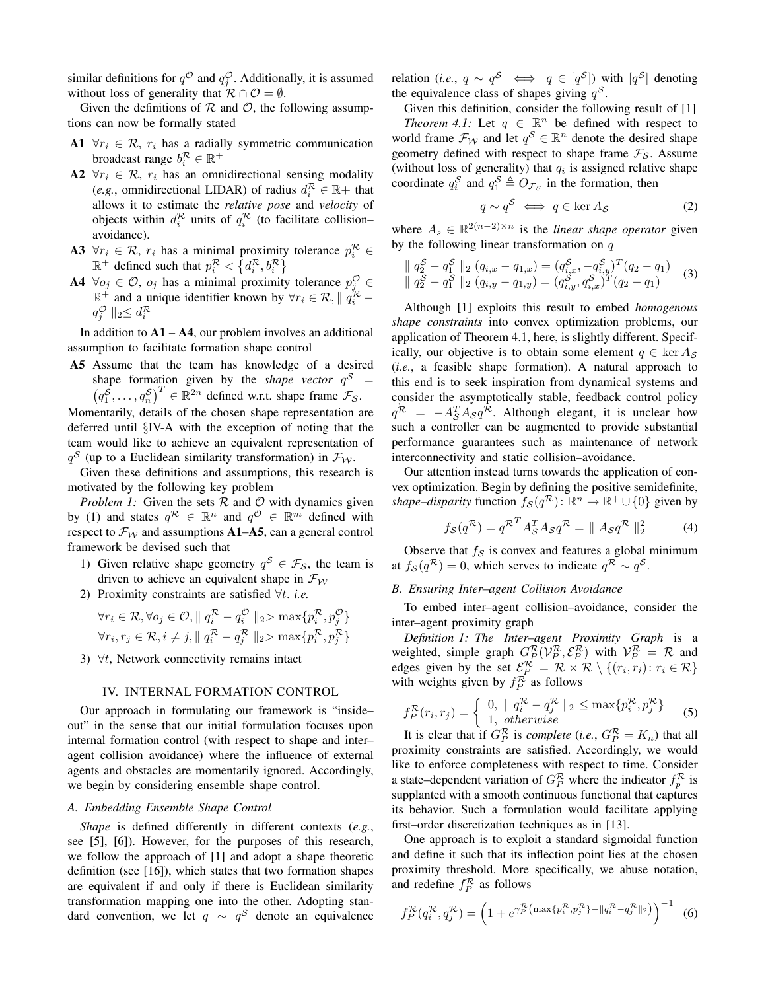similar definitions for  $q^{\mathcal{O}}$  and  $q^{\mathcal{O}}_j$ . Additionally, it is assumed without loss of generality that  $\mathcal{R} \cap \mathcal{O} = \emptyset$ .

Given the definitions of  $R$  and  $\mathcal{O}$ , the following assumptions can now be formally stated

- A1  $\forall r_i \in \mathcal{R}, r_i$  has a radially symmetric communication broadcast range  $b_i^{\mathcal{R}} \in \mathbb{R}^+$
- A2  $\forall r_i \in \mathcal{R}, r_i$  has an omnidirectional sensing modality (*e.g.*, omnidirectional LIDAR) of radius  $d_i^{\mathcal{R}} \in \mathbb{R}^+$  that allows it to estimate the *relative pose* and *velocity* of objects within  $d_i^{\mathcal{R}}$  units of  $q_i^{\mathcal{R}}$  (to facilitate collision– avoidance).
- A3  $\forall r_i \in \mathcal{R}, r_i$  has a minimal proximity tolerance  $p_i^{\mathcal{R}} \in$  $\mathbb{R}^+$  defined such that  $p_i^{\mathcal{R}} < \{d_i^{\mathcal{R}}, b_i^{\mathcal{R}}\}\$
- A4  $\forall o_j \in \mathcal{O}, o_j$  has a minimal proximity tolerance  $p_j^{\mathcal{O}} \in$  $\mathbb{R}^+$  and a unique identifier known by  $\forall r_i \in \mathcal{R}, ||q_i^{\mathcal{R}}$  $q_j^{\mathcal{O}} \parallel_2 \leq d_i^{\mathcal{R}}$

In addition to  $A1 - A4$ , our problem involves an additional assumption to facilitate formation shape control

A5 Assume that the team has knowledge of a desired shape formation given by the *shape vector*  $q^S$  =  $(q_1^{\overrightarrow{S}}, \ldots, q_n^{\overrightarrow{S}})^T \in \mathbb{R}^{2n}$  defined w.r.t. shape frame  $\mathcal{F}_{S}$ .

Momentarily, details of the chosen shape representation are deferred until §IV-A with the exception of noting that the team would like to achieve an equivalent representation of  $q^{\mathcal{S}}$  (up to a Euclidean similarity transformation) in  $\mathcal{F}_{\mathcal{W}}$ .

Given these definitions and assumptions, this research is motivated by the following key problem

*Problem 1:* Given the sets  $R$  and  $O$  with dynamics given by (1) and states  $q^R \in \mathbb{R}^n$  and  $q^{\mathcal{O}} \in \mathbb{R}^m$  defined with respect to  $\mathcal{F}_{W}$  and assumptions A1–A5, can a general control framework be devised such that

- 1) Given relative shape geometry  $q^S \in \mathcal{F}_{\mathcal{S}}$ , the team is driven to achieve an equivalent shape in  $\mathcal{F}_{W}$
- 2) Proximity constraints are satisfied ∀t. *i.e.*

$$
\forall r_i \in \mathcal{R}, \forall o_j \in \mathcal{O}, \parallel q_i^{\mathcal{R}} - q_i^{\mathcal{O}} \parallel_2 > \max\{p_i^{\mathcal{R}}, p_j^{\mathcal{O}}\}
$$
  

$$
\forall r_i, r_j \in \mathcal{R}, i \neq j, \parallel q_i^{\mathcal{R}} - q_j^{\mathcal{R}} \parallel_2 > \max\{p_i^{\mathcal{R}}, p_j^{\mathcal{R}}\}
$$

3)  $\forall t$ , Network connectivity remains intact

## IV. INTERNAL FORMATION CONTROL

Our approach in formulating our framework is "inside– out" in the sense that our initial formulation focuses upon internal formation control (with respect to shape and inter– agent collision avoidance) where the influence of external agents and obstacles are momentarily ignored. Accordingly, we begin by considering ensemble shape control.

# *A. Embedding Ensemble Shape Control*

*Shape* is defined differently in different contexts (*e.g.*, see [5], [6]). However, for the purposes of this research, we follow the approach of [1] and adopt a shape theoretic definition (see [16]), which states that two formation shapes are equivalent if and only if there is Euclidean similarity transformation mapping one into the other. Adopting standard convention, we let  $q \sim q^S$  denote an equivalence

relation (*i.e.*,  $q \sim q^{\mathcal{S}} \iff q \in [q^{\mathcal{S}}]$ ) with  $[q^{\mathcal{S}}]$  denoting the equivalence class of shapes giving  $q^{\mathcal{S}}$ .

Given this definition, consider the following result of [1] *Theorem 4.1:* Let  $q \in \mathbb{R}^n$  be defined with respect to world frame  $\mathcal{F}_{\mathcal{W}}$  and let  $q^{\mathcal{S}} \in \mathbb{R}^n$  denote the desired shape geometry defined with respect to shape frame  $\mathcal{F}_{\mathcal{S}}$ . Assume (without loss of generality) that  $q_i$  is assigned relative shape coordinate  $q_i^S$  and  $q_1^S \triangleq O_{\mathcal{F}_S}$  in the formation, then

$$
q \sim q^{\mathcal{S}} \iff q \in \ker A_{\mathcal{S}} \tag{2}
$$

where  $A_s \in \mathbb{R}^{2(n-2)\times n}$  is the *linear shape operator* given by the following linear transformation on  $q$ 

$$
\| q_2^{\mathcal{S}} - q_1^{\mathcal{S}} \|_2 (q_{i,x} - q_{1,x}) = (q_{i,x}^{\mathcal{S}}, -q_{i,y}^{\mathcal{S}})^T (q_2 - q_1)
$$
  

$$
\| q_2^{\mathcal{S}} - q_1^{\mathcal{S}} \|_2 (q_{i,y} - q_{1,y}) = (q_{i,y}^{\mathcal{S}}, q_{i,x}^{\mathcal{S}})^T (q_2 - q_1)
$$
 (3)

Although [1] exploits this result to embed *homogenous shape constraints* into convex optimization problems, our application of Theorem 4.1, here, is slightly different. Specifically, our objective is to obtain some element  $q \in \text{ker } A_{\mathcal{S}}$ (*i.e.*, a feasible shape formation). A natural approach to this end is to seek inspiration from dynamical systems and consider the asymptotically stable, feedback control policy  $q^{\mathcal{R}} = -A_S^T A_S q^{\mathcal{R}}$ . Although elegant, it is unclear how such a controller can be augmented to provide substantial performance guarantees such as maintenance of network interconnectivity and static collision–avoidance.

Our attention instead turns towards the application of convex optimization. Begin by defining the positive semidefinite, *shape–disparity* function  $f_{\mathcal{S}}(q^{\mathcal{R}})$ :  $\mathbb{R}^n \to \mathbb{R}^+ \cup \{0\}$  given by

$$
f_{\mathcal{S}}(q^{\mathcal{R}}) = q^{\mathcal{R}^T} A_{\mathcal{S}}^T A_{\mathcal{S}} q^{\mathcal{R}} = || A_{\mathcal{S}} q^{\mathcal{R}} ||_2^2 \tag{4}
$$

Observe that  $f_{\mathcal{S}}$  is convex and features a global minimum at  $f_{\mathcal{S}}(q^{\mathcal{R}}) = 0$ , which serves to indicate  $q^{\mathcal{R}} \sim q^{\mathcal{S}}$ .

## *B. Ensuring Inter–agent Collision Avoidance*

To embed inter–agent collision–avoidance, consider the inter–agent proximity graph

*Definition 1: The Inter–agent Proximity Graph* is a weighted, simple graph  $G_P^{\mathcal{R}}(\mathcal{V}_P^{\mathcal{R}}, \mathcal{E}_P^{\mathcal{R}})$  with  $\mathcal{V}_P^{\mathcal{R}} = \mathcal{R}$  and edges given by the set  $\mathcal{E}_P^{\mathcal{R}} = \mathcal{R} \times \mathcal{R} \setminus \{(r_i, r_i) : r_i \in \mathcal{R}\}\$ with weights given by  $f_P^R$  as follows

$$
f_P^{\mathcal{R}}(r_i, r_j) = \begin{cases} 0, & \|q_i^{\mathcal{R}} - q_j^{\mathcal{R}}\|_2 \le \max\{p_i^{\mathcal{R}}, p_j^{\mathcal{R}}\} \\ 1, & \text{otherwise} \end{cases} \tag{5}
$$

It is clear that if  $G_P^{\mathcal{R}}$  is *complete* (*i.e.*,  $G_P^{\mathcal{R}} = K_n$ ) that all proximity constraints are satisfied. Accordingly, we would like to enforce completeness with respect to time. Consider a state–dependent variation of  $G_P^R$  where the indicator  $f_P^R$  is supplanted with a smooth continuous functional that captures its behavior. Such a formulation would facilitate applying first–order discretization techniques as in [13].

One approach is to exploit a standard sigmoidal function and define it such that its inflection point lies at the chosen proximity threshold. More specifically, we abuse notation, and redefine  $f_P^{\mathcal{R}}$  as follows

$$
f_P^{\mathcal{R}}(q_i^{\mathcal{R}}, q_j^{\mathcal{R}}) = \left(1 + e^{\gamma_P^{\mathcal{R}}(\max\{p_i^{\mathcal{R}}, p_j^{\mathcal{R}}\} - \|q_i^{\mathcal{R}} - q_j^{\mathcal{R}}\|_2)}\right)^{-1}
$$
(6)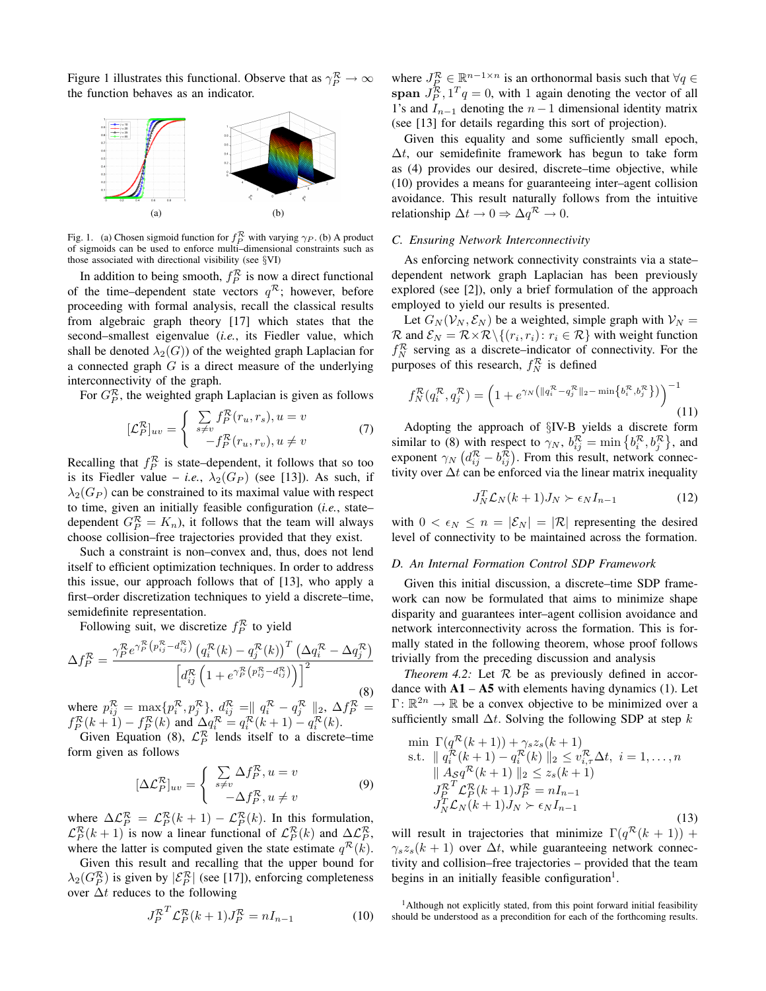Figure 1 illustrates this functional. Observe that as  $\gamma_P^{\mathcal{R}} \to \infty$ the function behaves as an indicator.



Fig. 1. (a) Chosen sigmoid function for  $f_P^{\mathcal{R}}$  with varying  $\gamma_P$ . (b) A product of sigmoids can be used to enforce multi–dimensional constraints such as those associated with directional visibility (see §VI)

In addition to being smooth,  $f_P^{\mathcal{R}}$  is now a direct functional of the time–dependent state vectors  $q^R$ ; however, before proceeding with formal analysis, recall the classical results from algebraic graph theory [17] which states that the second–smallest eigenvalue (*i.e.*, its Fiedler value, which shall be denoted  $\lambda_2(G)$ ) of the weighted graph Laplacian for a connected graph  $G$  is a direct measure of the underlying interconnectivity of the graph.

For  $G_P^{\mathcal{R}}$ , the weighted graph Laplacian is given as follows

$$
[\mathcal{L}_P^{\mathcal{R}}]_{uv} = \begin{cases} \sum_{s \neq v} f_P^{\mathcal{R}}(r_u, r_s), u = v \\ -f_P^{\mathcal{R}}(r_u, r_v), u \neq v \end{cases}
$$
(7)

Recalling that  $f_P^{\mathcal{R}}$  is state–dependent, it follows that so too is its Fiedler value – *i.e.*,  $\lambda_2(G_P)$  (see [13]). As such, if  $\lambda_2(G_P)$  can be constrained to its maximal value with respect to time, given an initially feasible configuration (*i.e.*, state– dependent  $G_P^{\mathcal{R}} = K_n$ , it follows that the team will always choose collision–free trajectories provided that they exist.

Such a constraint is non–convex and, thus, does not lend itself to efficient optimization techniques. In order to address this issue, our approach follows that of [13], who apply a first–order discretization techniques to yield a discrete–time, semidefinite representation.

Following suit, we discretize  $f_P^{\mathcal{R}}$  to yield

$$
\Delta f_P^{\mathcal{R}} = \frac{\gamma_P^{\mathcal{R}} e^{\gamma_P^{\mathcal{R}} \left( p_{ij}^{\mathcal{R}} - d_{ij}^{\mathcal{R}} \right)} \left( q_i^{\mathcal{R}}(k) - q_j^{\mathcal{R}}(k) \right)^T \left( \Delta q_i^{\mathcal{R}} - \Delta q_j^{\mathcal{R}} \right)}{\left[ d_{ij}^{\mathcal{R}} \left( 1 + e^{\gamma_P^{\mathcal{R}} \left( p_{ij}^{\mathcal{R}} - d_{ij}^{\mathcal{R}} \right)} \right) \right]^2}
$$
\n(8)

where  $p_{ij}^{\mathcal{R}} = \max\{p_i^{\mathcal{R}}, p_j^{\mathcal{R}}\}, d_{ij}^{\mathcal{R}} = || q_i^{\mathcal{R}} - q_j^{\mathcal{R}} ||_2, \Delta f_P^{\mathcal{R}} =$  $f_P^{\mathcal{R}}(k+1) - f_P^{\mathcal{R}}(k)$  and  $\Delta q_i^{\mathcal{R}} = q_i^{\mathcal{R}}(k+1) - q_i^{\mathcal{R}}(k)$ .

Given Equation (8),  $\mathcal{L}_P^{\mathcal{R}}$  lends itself to a discrete–time form given as follows

$$
[\Delta \mathcal{L}_P^{\mathcal{R}}]_{uv} = \begin{cases} \sum_{s \neq v} \Delta f_P^{\mathcal{R}}, u = v \\ -\Delta f_P^{\mathcal{R}}, u \neq v \end{cases}
$$
(9)

where  $\Delta \mathcal{L}_P^{\mathcal{R}} = \mathcal{L}_P^{\mathcal{R}}(k+1) - \mathcal{L}_P^{\mathcal{R}}(k)$ . In this formulation,  $\mathcal{L}_P^{\mathcal{R}}(k+1)$  is now a linear functional of  $\mathcal{L}_P^{\mathcal{R}}(k)$  and  $\Delta \mathcal{L}_P^{\mathcal{R}}$ , where the latter is computed given the state estimate  $q^{\mathcal{R}}(k)$ .

Given this result and recalling that the upper bound for  $\lambda_2(G_P^{\mathcal{R}})$  is given by  $|\mathcal{E}_P^{\mathcal{R}}|$  (see [17]), enforcing completeness over  $\Delta t$  reduces to the following

$$
J_P^{\mathcal{R}^T} \mathcal{L}_P^{\mathcal{R}}(k+1) J_P^{\mathcal{R}} = n I_{n-1}
$$
 (10)

where  $J_P^{\mathcal{R}} \in \mathbb{R}^{n-1 \times n}$  is an orthonormal basis such that  $\forall q \in$ span  $J_P^{\mathcal{R}}$ ,  $1^T q = 0$ , with 1 again denoting the vector of all 1's and  $I_{n-1}$  denoting the  $n-1$  dimensional identity matrix (see [13] for details regarding this sort of projection).

Given this equality and some sufficiently small epoch,  $\Delta t$ , our semidefinite framework has begun to take form as (4) provides our desired, discrete–time objective, while (10) provides a means for guaranteeing inter–agent collision avoidance. This result naturally follows from the intuitive relationship  $\Delta t \to 0 \Rightarrow \Delta q^R \to 0$ .

# *C. Ensuring Network Interconnectivity*

As enforcing network connectivity constraints via a state– dependent network graph Laplacian has been previously explored (see [2]), only a brief formulation of the approach employed to yield our results is presented.

Let  $G_N(V_N, \mathcal{E}_N)$  be a weighted, simple graph with  $V_N =$  $\mathcal{R}$  and  $\mathcal{E}_N = \mathcal{R} \times \mathcal{R} \setminus \{(r_i, r_i) : r_i \in \mathcal{R}\}\$  with weight function  $f_N^{\mathcal{R}}$  serving as a discrete–indicator of connectivity. For the purposes of this research,  $f_N^{\mathcal{R}}$  is defined

$$
f_N^{\mathcal{R}}(q_i^{\mathcal{R}}, q_j^{\mathcal{R}}) = \left(1 + e^{\gamma_N\left(\|q_i^{\mathcal{R}} - q_j^{\mathcal{R}}\|_2 - \min\left\{b_i^{\mathcal{R}}, b_j^{\mathcal{R}}\right\}\right)}\right)^{-1} \tag{11}
$$

Adopting the approach of §IV-B yields a discrete form similar to (8) with respect to  $\gamma_N$ ,  $b_{ij}^{\mathcal{R}} = \min\left\{b_i^{\mathcal{R}}, b_j^{\mathcal{R}}\right\}$ , and exponent  $\gamma_N \left( d_{ij}^{\mathcal{R}} - b_{ij}^{\mathcal{R}} \right)$ . From this result, network connectivity over  $\Delta t$  can be enforced via the linear matrix inequality

$$
J_N^T \mathcal{L}_N(k+1) J_N \succ \epsilon_N I_{n-1} \tag{12}
$$

with  $0 < \epsilon_N \leq n = |\mathcal{E}_N| = |\mathcal{R}|$  representing the desired level of connectivity to be maintained across the formation.

## *D. An Internal Formation Control SDP Framework*

Given this initial discussion, a discrete–time SDP framework can now be formulated that aims to minimize shape disparity and guarantees inter–agent collision avoidance and network interconnectivity across the formation. This is formally stated in the following theorem, whose proof follows trivially from the preceding discussion and analysis

*Theorem 4.2:* Let  $R$  be as previously defined in accordance with  $\mathbf{A1} - \mathbf{A5}$  with elements having dynamics (1). Let  $\Gamma: \mathbb{R}^{2n} \to \mathbb{R}$  be a convex objective to be minimized over a sufficiently small  $\Delta t$ . Solving the following SDP at step k

$$
\min \Gamma(q^{\mathcal{R}}(k+1)) + \gamma_s z_s(k+1) \n\text{s.t. } \| q_i^{\mathcal{R}}(k+1) - q_i^{\mathcal{R}}(k) \|_2 \le v_{i,\tau}^{\mathcal{R}} \Delta t, \ i = 1, \dots, n \n\| A_S q^{\mathcal{R}}(k+1) \|_2 \le z_s(k+1) \nJ_P^{\mathcal{R}} \mathcal{L}_P^{\mathcal{R}}(k+1) J_P^{\mathcal{R}} = nI_{n-1} \nJ_N^{\mathcal{R}} \mathcal{L}_N(k+1) J_N \succ \epsilon_N I_{n-1}
$$
\n(13)

will result in trajectories that minimize  $\Gamma(q^{\mathcal{R}}(k+1))$  +  $\gamma_s z_s(k+1)$  over  $\Delta t$ , while guaranteeing network connectivity and collision–free trajectories – provided that the team begins in an initially feasible configuration<sup>1</sup>.

<sup>1</sup>Although not explicitly stated, from this point forward initial feasibility should be understood as a precondition for each of the forthcoming results.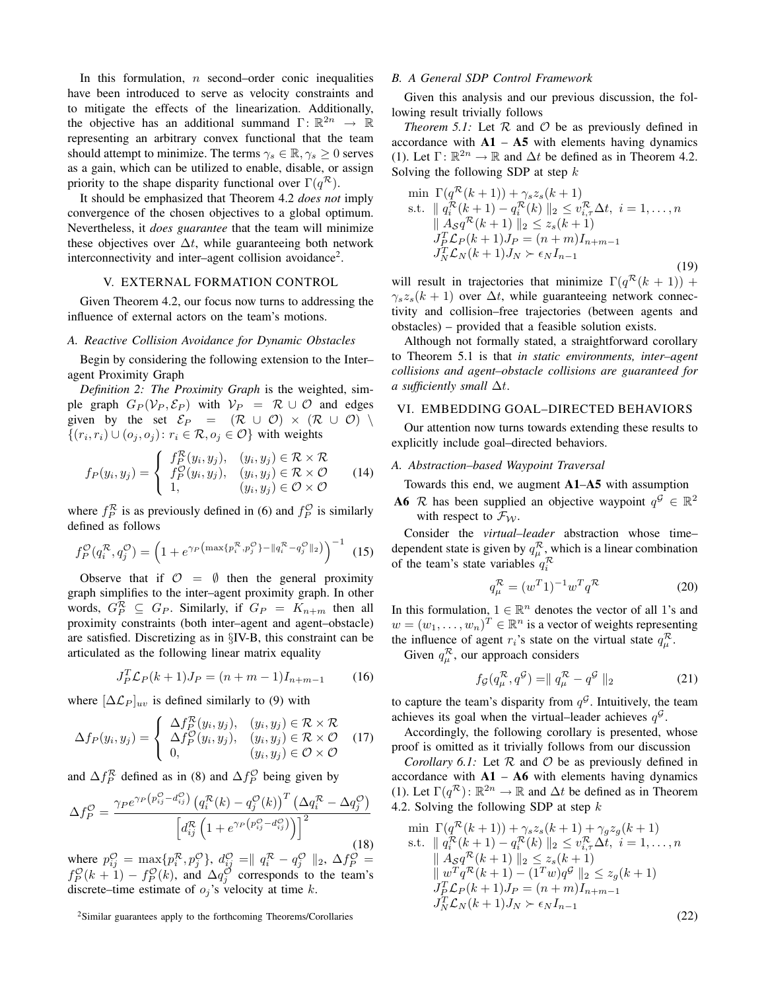In this formulation,  $n$  second–order conic inequalities have been introduced to serve as velocity constraints and to mitigate the effects of the linearization. Additionally, the objective has an additional summand  $\Gamma: \mathbb{R}^{2n} \to \mathbb{R}$ representing an arbitrary convex functional that the team should attempt to minimize. The terms  $\gamma_s \in \mathbb{R}, \gamma_s \geq 0$  serves as a gain, which can be utilized to enable, disable, or assign priority to the shape disparity functional over  $\Gamma(q^{\mathcal{R}})$ .

It should be emphasized that Theorem 4.2 *does not* imply convergence of the chosen objectives to a global optimum. Nevertheless, it *does guarantee* that the team will minimize these objectives over  $\Delta t$ , while guaranteeing both network interconnectivity and inter-agent collision avoidance<sup>2</sup>.

# V. EXTERNAL FORMATION CONTROL

Given Theorem 4.2, our focus now turns to addressing the influence of external actors on the team's motions.

## *A. Reactive Collision Avoidance for Dynamic Obstacles*

Begin by considering the following extension to the Inter– agent Proximity Graph

*Definition 2: The Proximity Graph* is the weighted, simple graph  $G_P(\mathcal{V}_P, \mathcal{E}_P)$  with  $\mathcal{V}_P = \mathcal{R} \cup \mathcal{O}$  and edges given by the set  $\mathcal{E}_P = (\mathcal{R} \cup \mathcal{O}) \times (\mathcal{R} \cup \mathcal{O})$  $\{(r_i, r_i) \cup (o_j, o_j) : r_i \in \mathcal{R}, o_j \in \mathcal{O}\}\$  with weights

$$
f_P(y_i, y_j) = \begin{cases} f_P^{\mathcal{R}}(y_i, y_j), & (y_i, y_j) \in \mathcal{R} \times \mathcal{R} \\ f_P^{\mathcal{O}}(y_i, y_j), & (y_i, y_j) \in \mathcal{R} \times \mathcal{O} \\ 1, & (y_i, y_j) \in \mathcal{O} \times \mathcal{O} \end{cases}
$$
(14)

where  $f_P^{\mathcal{R}}$  is as previously defined in (6) and  $f_P^{\mathcal{O}}$  is similarly defined as follows

$$
f_P^{\mathcal{O}}(q_i^{\mathcal{R}}, q_j^{\mathcal{O}}) = \left(1 + e^{\gamma_P \left(\max\{p_i^{\mathcal{R}}, p_j^{\mathcal{O}}\} - \|q_i^{\mathcal{R}} - q_j^{\mathcal{O}}\|_2\right)}\right)^{-1} (15)
$$

Observe that if  $\mathcal{O} = \emptyset$  then the general proximity graph simplifies to the inter–agent proximity graph. In other words,  $G_P^{\mathcal{R}} \subseteq G_P$ . Similarly, if  $G_P = K_{n+m}$  then all proximity constraints (both inter–agent and agent–obstacle) are satisfied. Discretizing as in §IV-B, this constraint can be articulated as the following linear matrix equality

$$
J_P^T \mathcal{L}_P(k+1) J_P = (n+m-1) I_{n+m-1} \tag{16}
$$

where  $[\Delta \mathcal{L}_P]_{uv}$  is defined similarly to (9) with

$$
\Delta f_P(y_i, y_j) = \begin{cases} \Delta f_P^{\mathcal{R}}(y_i, y_j), & (y_i, y_j) \in \mathcal{R} \times \mathcal{R} \\ \Delta f_P^{\mathcal{O}}(y_i, y_j), & (y_i, y_j) \in \mathcal{R} \times \mathcal{O} \\ 0, & (y_i, y_j) \in \mathcal{O} \times \mathcal{O} \end{cases}
$$
(17)

and  $\Delta f_P^{\mathcal{R}}$  defined as in (8) and  $\Delta f_P^{\mathcal{O}}$  being given by

$$
\Delta f_P^{\mathcal{O}} = \frac{\gamma_P e^{\gamma_P \left( p_{ij}^{\mathcal{O}} - d_{ij}^{\mathcal{O}} \right)} \left( q_i^{\mathcal{R}}(k) - q_j^{\mathcal{O}}(k) \right)^T \left( \Delta q_i^{\mathcal{R}} - \Delta q_j^{\mathcal{O}} \right)}{\left[ d_{ij}^{\mathcal{R}} \left( 1 + e^{\gamma_P \left( p_{ij}^{\mathcal{O}} - d_{ij}^{\mathcal{O}} \right)} \right) \right]^2} \tag{18}
$$

where  $p_{ij}^{\mathcal{O}} = \max\{p_i^{\mathcal{R}}, p_j^{\mathcal{O}}\}, d_{ij}^{\mathcal{O}} = || q_i^{\mathcal{R}} - q_j^{\mathcal{O}} ||_2, \Delta f_P^{\mathcal{O}} =$  $f_P^{\mathcal{O}}(k+1) - f_P^{\mathcal{O}}(k)$ , and  $\Delta q_j^{\mathcal{O}}$  corresponds to the team's discrete–time estimate of  $o_i$ 's velocity at time k.

## *B. A General SDP Control Framework*

Given this analysis and our previous discussion, the following result trivially follows

*Theorem 5.1:* Let  $R$  and  $O$  be as previously defined in accordance with  $A1 - A5$  with elements having dynamics (1). Let  $\Gamma: \mathbb{R}^{2n} \to \mathbb{R}$  and  $\Delta t$  be defined as in Theorem 4.2. Solving the following SDP at step  $k$ 

$$
\min \Gamma(q^{\mathcal{R}}(k+1)) + \gamma_s z_s(k+1) \n\text{s.t. } \| q_i^{\mathcal{R}}(k+1) - q_i^{\mathcal{R}}(k) \|_2 \le v_{i,\tau}^{\mathcal{R}} \Delta t, \ i = 1, ..., n \n\| A_S q^{\mathcal{R}}(k+1) \|_2 \le z_s(k+1) \nJ_P^{\mathcal{L}} L_P(k+1) J_P = (n+m) I_{n+m-1} \nJ_N^{\mathcal{L}} \mathcal{L}_N(k+1) J_N \succ \epsilon_N I_{n-1}
$$
\n(19)

will result in trajectories that minimize  $\Gamma(q^{\mathcal{R}}(k+1))$  +  $\gamma_s z_s(k+1)$  over  $\Delta t$ , while guaranteeing network connectivity and collision–free trajectories (between agents and obstacles) – provided that a feasible solution exists.

Although not formally stated, a straightforward corollary to Theorem 5.1 is that *in static environments, inter–agent collisions and agent–obstacle collisions are guaranteed for a sufficiently small* ∆t.

#### VI. EMBEDDING GOAL–DIRECTED BEHAVIORS

Our attention now turns towards extending these results to explicitly include goal–directed behaviors.

## *A. Abstraction–based Waypoint Traversal*

Towards this end, we augment A1–A5 with assumption

**A6** R has been supplied an objective waypoint  $q^G \in \mathbb{R}^2$ with respect to  $\mathcal{F}_{W}$ .

Consider the *virtual–leader* abstraction whose time– dependent state is given by  $q_{\mu}^{\mathcal{R}}$ , which is a linear combination of the team's state variables  $q_i^{\mathcal{R}}$ 

$$
q_{\mu}^{\mathcal{R}} = (w^T 1)^{-1} w^T q^{\mathcal{R}}
$$
 (20)

In this formulation,  $1 \in \mathbb{R}^n$  denotes the vector of all 1's and  $w = (w_1, \dots, w_n)^T \in \mathbb{R}^n$  is a vector of weights representing the influence of agent  $r_i$ 's state on the virtual state  $q_\mu^{\mathcal{R}}$ .

Given  $q_{\mu}^{\mathcal{R}}$ , our approach considers

$$
f_{\mathcal{G}}(q_{\mu}^{\mathcal{R}}, q^{\mathcal{G}}) = || q_{\mu}^{\mathcal{R}} - q^{\mathcal{G}} ||_2
$$
 (21)

to capture the team's disparity from  $q^{\mathcal{G}}$ . Intuitively, the team achieves its goal when the virtual–leader achieves  $q^{\mathcal{G}}$ .

Accordingly, the following corollary is presented, whose proof is omitted as it trivially follows from our discussion

*Corollary 6.1:* Let  $R$  and  $O$  be as previously defined in accordance with  $A1 - A6$  with elements having dynamics (1). Let  $\Gamma(q^{\mathcal{R}}): \mathbb{R}^{2n} \to \mathbb{R}$  and  $\Delta t$  be defined as in Theorem 4.2. Solving the following SDP at step k

$$
\min \Gamma(q^{\mathcal{R}}(k+1)) + \gamma_s z_s(k+1) + \gamma_g z_g(k+1) \ns.t. \quad || q_i^{\mathcal{R}}(k+1) - q_i^{\mathcal{R}}(k) ||_2 \le v_{i,\tau}^{\mathcal{R}} \Delta t, \quad i = 1, ..., n \n|| A_S q^{\mathcal{R}}(k+1) ||_2 \le z_s(k+1) \n|| w^T q^{\mathcal{R}}(k+1) - (1^T w) q^{\mathcal{G}} ||_2 \le z_g(k+1) \nJ_P^T \mathcal{L}_P(k+1) J_P = (n+m) I_{n+m-1} \nJ_N^T \mathcal{L}_N(k+1) J_N \succ \epsilon_N I_{n-1}
$$
\n(22)

<sup>2</sup>Similar guarantees apply to the forthcoming Theorems/Corollaries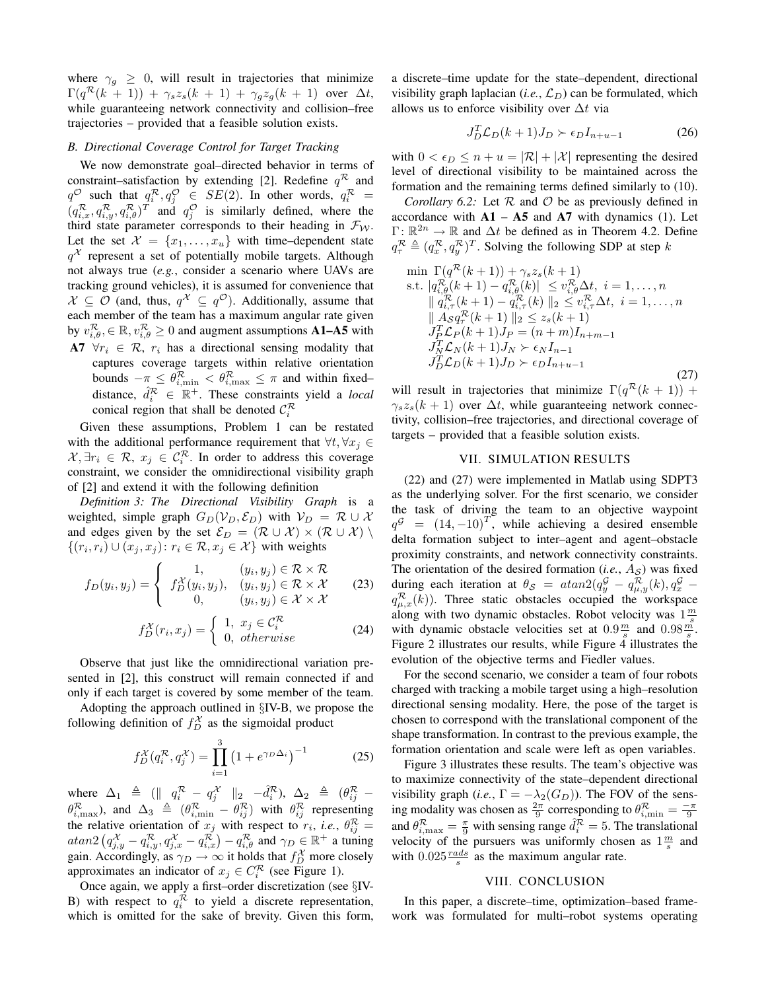where  $\gamma_g \geq 0$ , will result in trajectories that minimize  $\Gamma(q^{\mathcal{R}}(k+1)) + \gamma_s z_s(k+1) + \gamma_g z_g(k+1)$  over  $\Delta t$ , while guaranteeing network connectivity and collision–free trajectories – provided that a feasible solution exists.

# *B. Directional Coverage Control for Target Tracking*

We now demonstrate goal–directed behavior in terms of constraint–satisfaction by extending [2]. Redefine  $q^R$  and  $q^{\mathcal{O}}$  such that  $q_i^{\mathcal{R}}, q_j^{\mathcal{O}} \in SE(2)$ . In other words,  $q_i^{\mathcal{R}} =$  $(q_{i,x}^{\mathcal{R}}, q_{i,y}^{\mathcal{R}}, q_{i,\theta}^{\mathcal{R}})^T$  and  $q_j^{\mathcal{O}}$  is similarly defined, where the third state parameter corresponds to their heading in  $\mathcal{F}_{W}$ . Let the set  $\mathcal{X} = \{x_1, \ldots, x_u\}$  with time-dependent state  $q^{\mathcal{X}}$  represent a set of potentially mobile targets. Although not always true (*e.g.*, consider a scenario where UAVs are tracking ground vehicles), it is assumed for convenience that  $\mathcal{X} \subseteq \mathcal{O}$  (and, thus,  $q^{\mathcal{X}} \subseteq q^{\mathcal{O}}$ ). Additionally, assume that each member of the team has a maximum angular rate given by  $v_{i,\theta}^{\mathcal{R}}, \in \mathbb{R}, v_{i,\theta}^{\mathcal{R}} \ge 0$  and augment assumptions **A1–A5** with A7  $\forall r_i \in \mathcal{R}, r_i$  has a directional sensing modality that

captures coverage targets within relative orientation bounds  $-\pi \leq \theta_{i,\min}^{\mathcal{R}} < \theta_{i,\max}^{\mathcal{R}} \leq \pi$  and within fixed– distance,  $\hat{d}_i^{\mathcal{R}} \in \mathbb{R}^+$ . These constraints yield a *local* conical region that shall be denoted  $\mathcal{C}_i^{\mathcal{R}}$ 

Given these assumptions, Problem 1 can be restated with the additional performance requirement that  $\forall t, \forall x_i \in$  $\mathcal{X}, \exists r_i \in \mathcal{R}, x_j \in \mathcal{C}_i^{\mathcal{R}}$ . In order to address this coverage constraint, we consider the omnidirectional visibility graph of [2] and extend it with the following definition

*Definition 3: The Directional Visibility Graph* is a weighted, simple graph  $G_D(V_D, \mathcal{E}_D)$  with  $V_D = \mathcal{R} \cup \mathcal{X}$ and edges given by the set  $\mathcal{E}_D = (\mathcal{R} \cup \mathcal{X}) \times (\mathcal{R} \cup \mathcal{X})$  $\{(r_i, r_i) \cup (x_j, x_j) : r_i \in \mathcal{R}, x_j \in \mathcal{X}\}\$  with weights

$$
f_D(y_i, y_j) = \begin{cases} 1, & (y_i, y_j) \in \mathcal{R} \times \mathcal{R} \\ f_D^{\mathcal{X}}(y_i, y_j), & (y_i, y_j) \in \mathcal{R} \times \mathcal{X} \\ 0, & (y_i, y_j) \in \mathcal{X} \times \mathcal{X} \end{cases}
$$
 (23)

$$
f_D^{\mathcal{X}}(r_i, x_j) = \begin{cases} 1, & x_j \in \mathcal{C}_i^{\mathcal{R}} \\ 0, & otherwise \end{cases}
$$
 (24)

Observe that just like the omnidirectional variation presented in [2], this construct will remain connected if and only if each target is covered by some member of the team.

Adopting the approach outlined in §IV-B, we propose the following definition of  $f_D^{\mathcal{X}}$  as the sigmoidal product

$$
f_D^{\mathcal{X}}(q_i^{\mathcal{R}}, q_j^{\mathcal{X}}) = \prod_{i=1}^3 (1 + e^{\gamma_D \Delta_i})^{-1}
$$
 (25)

where  $\Delta_1 \triangleq (||q_i^{\mathcal{R}} - q_j^{\mathcal{X}}||_2 - \hat{d}_i^{\mathcal{R}}), \ \Delta_2 \triangleq (\theta_{ij}^{\mathcal{R}} \theta_{i,\text{max}}^{\mathcal{R}}$ ), and  $\Delta_3 \triangleq (\theta_{i,\text{min}}^{\mathcal{R}} - \theta_{ij}^{\mathcal{R}})$  with  $\theta_{ij}^{\mathcal{R}}$  representing the relative orientation of  $x_j$  with respect to  $r_i$ , *i.e.*,  $\theta_{ij}^{\mathcal{R}} =$  $atan2 \left( q_{j,y}^{\mathcal{X}} - q_{i,y}^{\mathcal{R}}, q_{j,x}^{\mathcal{X}} - q_{i,x}^{\mathcal{R}} \right) - q_{i,\theta}^{\mathcal{R}}$  and  $\gamma_D \in \mathbb{R}^+$  a tuning gain. Accordingly, as  $\gamma_D \to \infty$  it holds that  $f_D^X$  more closely<br>approximates an indicator of  $x \in C^R$  (see Figure 1) approximates an indicator of  $x_j \in C_i^{\mathcal{R}}$  (see Figure 1).

Once again, we apply a first–order discretization (see §IV-B) with respect to  $q_i^{\mathcal{R}}$  to yield a discrete representation, which is omitted for the sake of brevity. Given this form, a discrete–time update for the state–dependent, directional visibility graph laplacian  $(i.e., \mathcal{L}_D)$  can be formulated, which allows us to enforce visibility over  $\Delta t$  via

$$
J_D^T \mathcal{L}_D(k+1) J_D \succ \epsilon_D I_{n+u-1} \tag{26}
$$

with  $0 < \epsilon_D \le n + u = |\mathcal{R}| + |\mathcal{X}|$  representing the desired level of directional visibility to be maintained across the formation and the remaining terms defined similarly to (10).

*Corollary 6.2:* Let  $R$  and  $O$  be as previously defined in accordance with  $A1 - A5$  and  $A7$  with dynamics (1). Let  $\Gamma: \mathbb{R}^{2n} \to \mathbb{R}$  and  $\Delta t$  be defined as in Theorem 4.2. Define  $q_{\tau}^{\mathcal{R}} \triangleq (q_{x}^{\mathcal{R}}, q_{y}^{\mathcal{R}})^{T}$ . Solving the following SDP at step k

$$
\min \Gamma(q^{\mathcal{R}}(k+1)) + \gamma_s z_s(k+1) \ns.t. |q_{i,\theta}^{\mathcal{R}}(k+1) - q_{i,\theta}^{\mathcal{R}}(k)| \le v_{i,\theta}^{\mathcal{R}} \Delta t, i = 1,...,n \n||q_{i,\tau}^{\mathcal{R}}(k+1) - q_{i,\tau}^{\mathcal{R}}(k)||_2 \le v_{i,\tau}^{\mathcal{R}} \Delta t, i = 1,...,n \n||A_{S}q_{\tau}^{\mathcal{R}}(k+1)||_2 \le z_s(k+1) \nJ_{P}^{\mathcal{L}}L_{P}(k+1)J_{P} = (n+m)I_{n+m-1} \nJ_{N}^{\mathcal{R}}L_{N}(k+1)J_{N} \succ \epsilon_{N}I_{n-1} \nJ_{D}^{\mathcal{L}}L_{D}(k+1)J_{D} \succ \epsilon_{D}I_{n+u-1}
$$
\n(27)

will result in trajectories that minimize  $\Gamma(q^{\mathcal{R}}(k+1))$  +  $\gamma_s z_s(k+1)$  over  $\Delta t$ , while guaranteeing network connectivity, collision–free trajectories, and directional coverage of targets – provided that a feasible solution exists.

# VII. SIMULATION RESULTS

(22) and (27) were implemented in Matlab using SDPT3 as the underlying solver. For the first scenario, we consider the task of driving the team to an objective waypoint  $q^{\mathcal{G}} = (14, -10)^{T}$ , while achieving a desired ensemble delta formation subject to inter–agent and agent–obstacle proximity constraints, and network connectivity constraints. The orientation of the desired formation  $(i.e., A<sub>S</sub>)$  was fixed during each iteration at  $\theta_{\mathcal{S}} = \text{atan2}(q_y^{\mathcal{G}} - q_{\mu,y}^{\mathcal{R}}(k), q_x^{\mathcal{G}}$  $q_{\mu,x}^{\mathcal{R}}(k)$ ). Three static obstacles occupied the workspace along with two dynamic obstacles. Robot velocity was  $1\frac{m}{s}$ with dynamic obstacle velocities set at  $0.9\frac{m}{s}$  and  $0.98\frac{m}{s}$ . Figure 2 illustrates our results, while Figure 4 illustrates the evolution of the objective terms and Fiedler values.

For the second scenario, we consider a team of four robots charged with tracking a mobile target using a high–resolution directional sensing modality. Here, the pose of the target is chosen to correspond with the translational component of the shape transformation. In contrast to the previous example, the formation orientation and scale were left as open variables.

Figure 3 illustrates these results. The team's objective was to maximize connectivity of the state–dependent directional visibility graph (*i.e.*,  $\Gamma = -\lambda_2(G_D)$ ). The FOV of the sensing modality was chosen as  $\frac{2\pi}{9}$  corresponding to  $\theta_{i,\text{min}}^{\mathcal{R}} = \frac{-\pi}{9}$ and  $\theta_{i,\text{max}}^{\mathcal{R}} = \frac{\pi}{9}$  with sensing range  $\hat{d}_i^{\mathcal{R}} = 5$ . The translational velocity of the pursuers was uniformly chosen as  $1\frac{m}{s}$  and with  $0.025 \frac{rads}{s}$  as the maximum angular rate.

# VIII. CONCLUSION

In this paper, a discrete–time, optimization–based framework was formulated for multi–robot systems operating